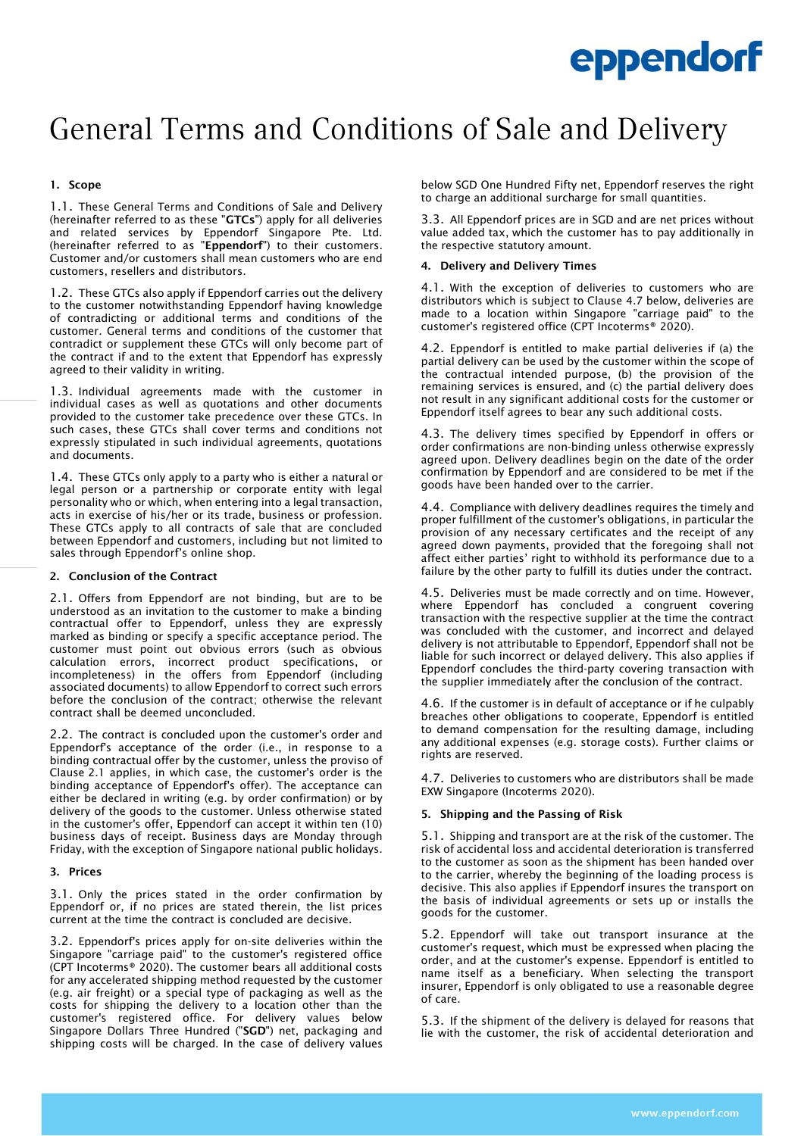# General Terms and Conditions of Sale and Delivery

# 1. Scope

1.1. These General Terms and Conditions of Sale and Delivery (hereinafter referred to as these "GTCs") apply for all deliveries and related services by Eppendorf Singapore Pte. Ltd. (hereinafter referred to as "**Eppendorf**") to their customers. Customer and/or customers shall mean customers who are end customers, resellers and distributors.

1.2. These GTCs also apply if Eppendorf carries out the delivery to the customer notwithstanding Eppendorf having knowledge of contradicting or additional terms and conditions of the customer. General terms and conditions of the customer that contradict or supplement these GTCs will only become part of the contract if and to the extent that Eppendorf has expressly agreed to their validity in writing.

1.3. Individual agreements made with the customer in individual cases as well as quotations and other documents provided to the customer take precedence over these GTCs. In such cases, these GTCs shall cover terms and conditions not expressly stipulated in such individual agreements, quotations and documents.

1.4. These GTCs only apply to a party who is either a natural or legal person or a partnership or corporate entity with legal personality who or which, when entering into a legal transaction, acts in exercise of his/her or its trade, business or profession. These GTCs apply to all contracts of sale that are concluded between Eppendorf and customers, including but not limited to sales through Eppendorf's online shop.

# 2. Conclusion of the Contract

2.1. Offers from Eppendorf are not binding, but are to be understood as an invitation to the customer to make a binding contractual offer to Eppendorf, unless they are expressly marked as binding or specify a specific acceptance period. The customer must point out obvious errors (such as obvious calculation errors, incorrect product specifications, or incompleteness) in the offers from Eppendorf (including associated documents) to allow Eppendorf to correct such errors before the conclusion of the contract; otherwise the relevant contract shall be deemed unconcluded.

2.2. The contract is concluded upon the customer's order and Eppendorf's acceptance of the order (i.e., in response to a binding contractual offer by the customer, unless the proviso of Clause 2.1 applies, in which case, the customer's order is the binding acceptance of Eppendorf's offer). The acceptance can either be declared in writing (e.g. by order confirmation) or by delivery of the goods to the customer. Unless otherwise stated in the customer's offer, Eppendorf can accept it within ten (10) business days of receipt. Business days are Monday through Friday, with the exception of Singapore national public holidays.

#### 3. Prices

3.1. Only the prices stated in the order confirmation by Eppendorf or, if no prices are stated therein, the list prices current at the time the contract is concluded are decisive.

3.2. Eppendorf's prices apply for on-site deliveries within the Singapore "carriage paid" to the customer's registered office (CPT Incoterms® 2020). The customer bears all additional costs for any accelerated shipping method requested by the customer (e.g. air freight) or a special type of packaging as well as the costs for shipping the delivery to a location other than the customer's registered office. For delivery values below Singapore Dollars Three Hundred ("SGD") net, packaging and shipping costs will be charged. In the case of delivery values

below SGD One Hundred Fifty net, Eppendorf reserves the right to charge an additional surcharge for small quantities.

3.3. All Eppendorf prices are in SGD and are net prices without value added tax, which the customer has to pay additionally in the respective statutory amount.

# 4. Delivery and Delivery Times

4.1. With the exception of deliveries to customers who are distributors which is subject to Clause 4.7 below, deliveries are made to a location within Singapore "carriage paid" to the customer's registered office (CPT Incoterms® 2020).

4.2. Eppendorf is entitled to make partial deliveries if (a) the partial delivery can be used by the customer within the scope of the contractual intended purpose, (b) the provision of the remaining services is ensured, and (c) the partial delivery does not result in any significant additional costs for the customer or Eppendorf itself agrees to bear any such additional costs.

4.3. The delivery times specified by Eppendorf in offers or order confirmations are non-binding unless otherwise expressly agreed upon. Delivery deadlines begin on the date of the order confirmation by Eppendorf and are considered to be met if the goods have been handed over to the carrier.

4.4. Compliance with delivery deadlines requires the timely and proper fulfillment of the customer's obligations, in particular the provision of any necessary certificates and the receipt of any agreed down payments, provided that the foregoing shall not affect either parties' right to withhold its performance due to a failure by the other party to fulfill its duties under the contract.

4.5. Deliveries must be made correctly and on time. However, where Eppendorf has concluded a congruent covering transaction with the respective supplier at the time the contract was concluded with the customer, and incorrect and delayed delivery is not attributable to Eppendorf, Eppendorf shall not be liable for such incorrect or delayed delivery. This also applies if Eppendorf concludes the third-party covering transaction with the supplier immediately after the conclusion of the contract.

4.6. If the customer is in default of acceptance or if he culpably breaches other obligations to cooperate, Eppendorf is entitled to demand compensation for the resulting damage, including any additional expenses (e.g. storage costs). Further claims or rights are reserved.

4.7. Deliveries to customers who are distributors shall be made EXW Singapore (Incoterms 2020).

# 5. Shipping and the Passing of Risk

5.1. Shipping and transport are at the risk of the customer. The risk of accidental loss and accidental deterioration is transferred to the customer as soon as the shipment has been handed over to the carrier, whereby the beginning of the loading process is decisive. This also applies if Eppendorf insures the transport on the basis of individual agreements or sets up or installs the goods for the customer.

5.2. Eppendorf will take out transport insurance at the customer's request, which must be expressed when placing the order, and at the customer's expense. Eppendorf is entitled to name itself as a beneficiary. When selecting the transport insurer, Eppendorf is only obligated to use a reasonable degree of care.

5.3. If the shipment of the delivery is delayed for reasons that lie with the customer, the risk of accidental deterioration and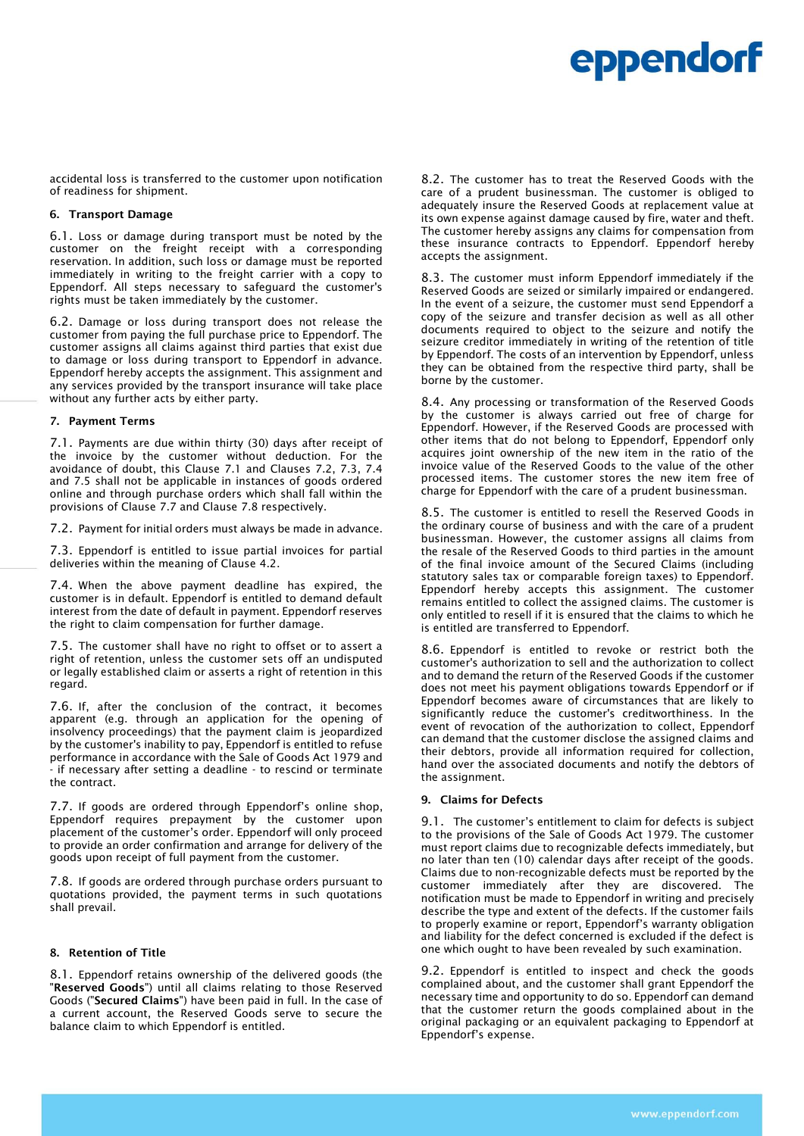accidental loss is transferred to the customer upon notification of readiness for shipment.

### 6. Transport Damage

6.1. Loss or damage during transport must be noted by the customer on the freight receipt with a corresponding reservation. In addition, such loss or damage must be reported immediately in writing to the freight carrier with a copy to Eppendorf. All steps necessary to safeguard the customer's rights must be taken immediately by the customer.

6.2. Damage or loss during transport does not release the customer from paying the full purchase price to Eppendorf. The customer assigns all claims against third parties that exist due to damage or loss during transport to Eppendorf in advance. Eppendorf hereby accepts the assignment. This assignment and any services provided by the transport insurance will take place without any further acts by either party.

#### 7. Payment Terms

7.1. Payments are due within thirty (30) days after receipt of the invoice by the customer without deduction. For the avoidance of doubt, this Clause 7.1 and Clauses 7.2, 7.3, 7.4 and 7.5 shall not be applicable in instances of goods ordered online and through purchase orders which shall fall within the provisions of Clause 7.7 and Clause 7.8 respectively.

7.2. Payment for initial orders must always be made in advance.

7.3. Eppendorf is entitled to issue partial invoices for partial deliveries within the meaning of Clause 4.2.

7.4. When the above payment deadline has expired, the customer is in default. Eppendorf is entitled to demand default interest from the date of default in payment. Eppendorf reserves the right to claim compensation for further damage.

7.5. The customer shall have no right to offset or to assert a right of retention, unless the customer sets off an undisputed or legally established claim or asserts a right of retention in this regard.

7.6. If, after the conclusion of the contract, it becomes apparent (e.g. through an application for the opening of insolvency proceedings) that the payment claim is jeopardized by the customer's inability to pay, Eppendorf is entitled to refuse performance in accordance with the Sale of Goods Act 1979 and - if necessary after setting a deadline - to rescind or terminate the contract.

7.7. If goods are ordered through Eppendorf's online shop, Eppendorf requires prepayment by the customer upon placement of the customer's order. Eppendorf will only proceed to provide an order confirmation and arrange for delivery of the goods upon receipt of full payment from the customer.

7.8. If goods are ordered through purchase orders pursuant to quotations provided, the payment terms in such quotations shall prevail.

#### 8. Retention of Title

8.1. Eppendorf retains ownership of the delivered goods (the "Reserved Goods") until all claims relating to those Reserved Goods ("Secured Claims") have been paid in full. In the case of a current account, the Reserved Goods serve to secure the balance claim to which Eppendorf is entitled.

8.2. The customer has to treat the Reserved Goods with the care of a prudent businessman. The customer is obliged to adequately insure the Reserved Goods at replacement value at its own expense against damage caused by fire, water and theft. The customer hereby assigns any claims for compensation from these insurance contracts to Eppendorf. Eppendorf hereby accepts the assignment.

8.3. The customer must inform Eppendorf immediately if the Reserved Goods are seized or similarly impaired or endangered. In the event of a seizure, the customer must send Eppendorf a copy of the seizure and transfer decision as well as all other documents required to object to the seizure and notify the seizure creditor immediately in writing of the retention of title by Eppendorf. The costs of an intervention by Eppendorf, unless they can be obtained from the respective third party, shall be borne by the customer.

8.4. Any processing or transformation of the Reserved Goods by the customer is always carried out free of charge for Eppendorf. However, if the Reserved Goods are processed with other items that do not belong to Eppendorf, Eppendorf only acquires joint ownership of the new item in the ratio of the invoice value of the Reserved Goods to the value of the other processed items. The customer stores the new item free of charge for Eppendorf with the care of a prudent businessman.

8.5. The customer is entitled to resell the Reserved Goods in the ordinary course of business and with the care of a prudent businessman. However, the customer assigns all claims from the resale of the Reserved Goods to third parties in the amount of the final invoice amount of the Secured Claims (including statutory sales tax or comparable foreign taxes) to Eppendorf. Eppendorf hereby accepts this assignment. The customer remains entitled to collect the assigned claims. The customer is only entitled to resell if it is ensured that the claims to which he is entitled are transferred to Eppendorf.

8.6. Eppendorf is entitled to revoke or restrict both the customer's authorization to sell and the authorization to collect and to demand the return of the Reserved Goods if the customer does not meet his payment obligations towards Eppendorf or if Eppendorf becomes aware of circumstances that are likely to significantly reduce the customer's creditworthiness. In the event of revocation of the authorization to collect, Eppendorf can demand that the customer disclose the assigned claims and their debtors, provide all information required for collection, hand over the associated documents and notify the debtors of the assignment.

#### 9. Claims for Defects

9.1. The customer's entitlement to claim for defects is subject to the provisions of the Sale of Goods Act 1979. The customer must report claims due to recognizable defects immediately, but no later than ten (10) calendar days after receipt of the goods. Claims due to non-recognizable defects must be reported by the customer immediately after they are discovered. The notification must be made to Eppendorf in writing and precisely describe the type and extent of the defects. If the customer fails to properly examine or report, Eppendorf's warranty obligation and liability for the defect concerned is excluded if the defect is one which ought to have been revealed by such examination.

9.2. Eppendorf is entitled to inspect and check the goods complained about, and the customer shall grant Eppendorf the necessary time and opportunity to do so. Eppendorf can demand that the customer return the goods complained about in the original packaging or an equivalent packaging to Eppendorf at Eppendorf's expense.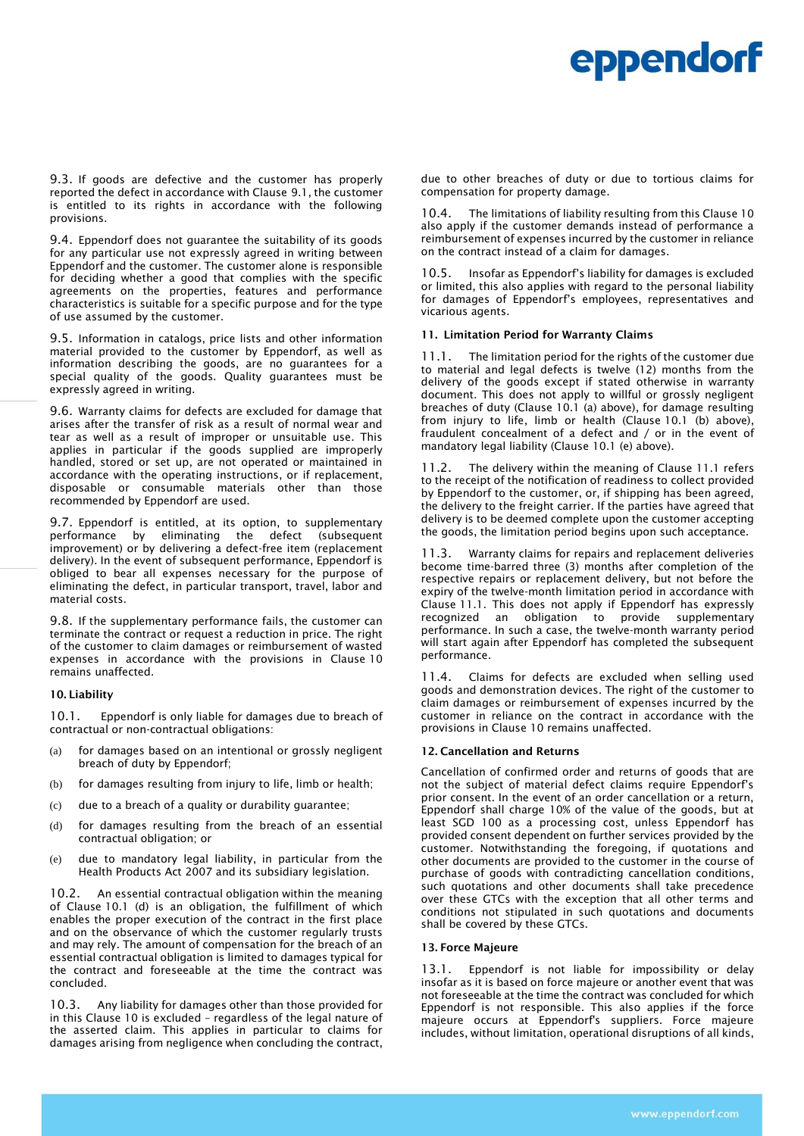9.3. If goods are defective and the customer has properly reported the defect in accordance with Clause 9.1, the customer is entitled to its rights in accordance with the following provisions.

9.4. Eppendorf does not guarantee the suitability of its goods for any particular use not expressly agreed in writing between Eppendorf and the customer. The customer alone is responsible for deciding whether a good that complies with the specific agreements on the properties, features and performance characteristics is suitable for a specific purpose and for the type of use assumed by the customer.

9.5. Information in catalogs, price lists and other information material provided to the customer by Eppendorf, as well as information describing the goods, are no guarantees for a special quality of the goods. Quality guarantees must be expressly agreed in writing.

9.6. Warranty claims for defects are excluded for damage that arises after the transfer of risk as a result of normal wear and tear as well as a result of improper or unsuitable use. This applies in particular if the goods supplied are improperly handled, stored or set up, are not operated or maintained in accordance with the operating instructions, or if replacement, disposable or consumable materials other than those recommended by Eppendorf are used.

9.7. Eppendorf is entitled, at its option, to supplementary performance by eliminating the defect (subsequent improvement) or by delivering a defect-free item (replacement delivery). In the event of subsequent performance, Eppendorf is obliged to bear all expenses necessary for the purpose of eliminating the defect, in particular transport, travel, labor and material costs.

9.8. If the supplementary performance fails, the customer can terminate the contract or request a reduction in price. The right of the customer to claim damages or reimbursement of wasted expenses in accordance with the provisions in Clause 10 remains unaffected.

#### 10. Liability

10.1. Eppendorf is only liable for damages due to breach of contractual or non-contractual obligations:

- (a) for damages based on an intentional or grossly negligent breach of duty by Eppendorf;
- (b) for damages resulting from injury to life, limb or health;
- (c) due to a breach of a quality or durability guarantee;
- (d) for damages resulting from the breach of an essential contractual obligation; or
- (e) due to mandatory legal liability, in particular from the Health Products Act 2007 and its subsidiary legislation.

10.2. An essential contractual obligation within the meaning of Clause 10.1 (d) is an obligation, the fulfillment of which enables the proper execution of the contract in the first place and on the observance of which the customer regularly trusts and may rely. The amount of compensation for the breach of an essential contractual obligation is limited to damages typical for the contract and foreseeable at the time the contract was concluded.

10.3. Any liability for damages other than those provided for in this Clause 10 is excluded – regardless of the legal nature of the asserted claim. This applies in particular to claims for damages arising from negligence when concluding the contract, due to other breaches of duty or due to tortious claims for compensation for property damage.

10.4. The limitations of liability resulting from this Clause 10 also apply if the customer demands instead of performance a reimbursement of expenses incurred by the customer in reliance on the contract instead of a claim for damages.

10.5. Insofar as Eppendorf's liability for damages is excluded or limited, this also applies with regard to the personal liability for damages of Eppendorf's employees, representatives and vicarious agents.

### 11. Limitation Period for Warranty Claims

11.1. The limitation period for the rights of the customer due to material and legal defects is twelve (12) months from the delivery of the goods except if stated otherwise in warranty document. This does not apply to willful or grossly negligent breaches of duty (Clause 10.1 (a) above), for damage resulting from injury to life, limb or health (Clause 10.1 (b) above), fraudulent concealment of a defect and / or in the event of mandatory legal liability (Clause 10.1 (e) above).

11.2. The delivery within the meaning of Clause 11.1 refers to the receipt of the notification of readiness to collect provided by Eppendorf to the customer, or, if shipping has been agreed, the delivery to the freight carrier. If the parties have agreed that delivery is to be deemed complete upon the customer accepting the goods, the limitation period begins upon such acceptance.

11.3. Warranty claims for repairs and replacement deliveries become time-barred three (3) months after completion of the respective repairs or replacement delivery, but not before the expiry of the twelve-month limitation period in accordance with Clause 11.1. This does not apply if Eppendorf has expressly recognized an obligation to provide supplementary performance. In such a case, the twelve-month warranty period will start again after Eppendorf has completed the subsequent performance.

11.4. Claims for defects are excluded when selling used goods and demonstration devices. The right of the customer to claim damages or reimbursement of expenses incurred by the customer in reliance on the contract in accordance with the provisions in Clause 10 remains unaffected.

# 12. Cancellation and Returns

Cancellation of confirmed order and returns of goods that are not the subject of material defect claims require Eppendorf's prior consent. In the event of an order cancellation or a return, Eppendorf shall charge 10% of the value of the goods, but at least SGD 100 as a processing cost, unless Eppendorf has provided consent dependent on further services provided by the customer. Notwithstanding the foregoing, if quotations and other documents are provided to the customer in the course of purchase of goods with contradicting cancellation conditions, such quotations and other documents shall take precedence over these GTCs with the exception that all other terms and conditions not stipulated in such quotations and documents shall be covered by these GTCs.

# 13. Force Majeure

13.1. Eppendorf is not liable for impossibility or delay insofar as it is based on force majeure or another event that was not foreseeable at the time the contract was concluded for which Eppendorf is not responsible. This also applies if the force majeure occurs at Eppendorf's suppliers. Force majeure includes, without limitation, operational disruptions of all kinds,